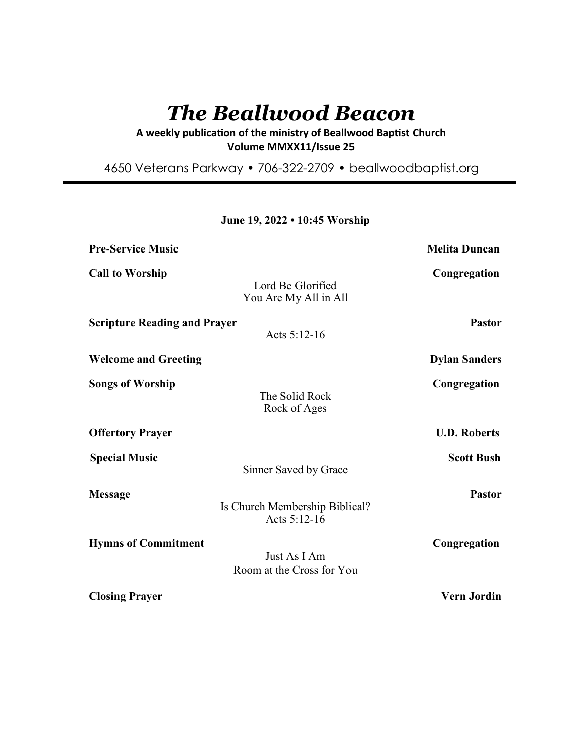# *The Beallwood Beacon*

A weekly publication of the ministry of Beallwood Baptist Church **Volume MMXX11/Issue 25** 

4650 Veterans Parkway • 706-322-2709 • beallwoodbaptist.org

# **June 19, 2022 • 10:45 Worship**

| <b>Pre-Service Music</b>            |                                                | <b>Melita Duncan</b> |
|-------------------------------------|------------------------------------------------|----------------------|
| <b>Call to Worship</b>              | Lord Be Glorified<br>You Are My All in All     | Congregation         |
| <b>Scripture Reading and Prayer</b> | Acts 5:12-16                                   | <b>Pastor</b>        |
| <b>Welcome and Greeting</b>         |                                                | <b>Dylan Sanders</b> |
| <b>Songs of Worship</b>             | The Solid Rock<br>Rock of Ages                 | Congregation         |
| <b>Offertory Prayer</b>             |                                                | <b>U.D. Roberts</b>  |
| <b>Special Music</b>                | Sinner Saved by Grace                          | <b>Scott Bush</b>    |
| <b>Message</b>                      | Is Church Membership Biblical?<br>Acts 5:12-16 | <b>Pastor</b>        |
| <b>Hymns of Commitment</b>          | Just As I Am<br>Room at the Cross for You      | Congregation         |
| <b>Closing Prayer</b>               |                                                | Vern Jordin          |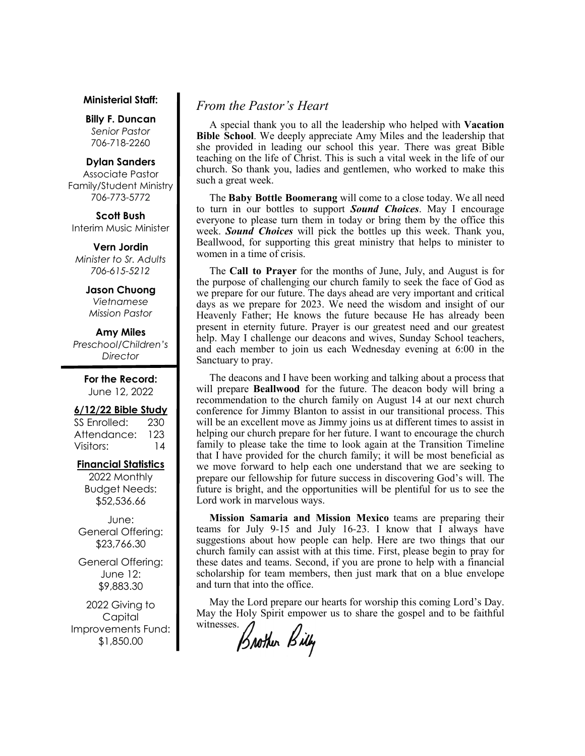#### **Ministerial Staff:**

**Billy F. Duncan** *Senior Pastor*  706-718-2260

#### **Dylan Sanders**

Associate Pastor Family/Student Ministry 706-773-5772

**Scott Bush**  Interim Music Minister

**Vern Jordin** *Minister to Sr. Adults 706-615-5212* 

#### **Jason Chuong**

*Vietnamese Mission Pastor* 

## **Amy Miles**

*Preschool/Children's Director* 

> **For the Record:**  June 12, 2022

#### **6/12/22 Bible Study**

SS Enrolled: 230 Attendance: 123 Visitors: 14

#### **Financial Statistics**

2022 Monthly Budget Needs: \$52,536.66

June: General Offering: \$23,766.30

General Offering: June 12: \$9,883.30

2022 Giving to Capital Improvements Fund: \$1,850.00

# *From the Pastor's Heart*

 A special thank you to all the leadership who helped with **Vacation Bible School**. We deeply appreciate Amy Miles and the leadership that she provided in leading our school this year. There was great Bible teaching on the life of Christ. This is such a vital week in the life of our church. So thank you, ladies and gentlemen, who worked to make this such a great week.

 The **Baby Bottle Boomerang** will come to a close today. We all need to turn in our bottles to support *Sound Choices*. May I encourage everyone to please turn them in today or bring them by the office this week. *Sound Choices* will pick the bottles up this week. Thank you, Beallwood, for supporting this great ministry that helps to minister to women in a time of crisis.

 The **Call to Prayer** for the months of June, July, and August is for the purpose of challenging our church family to seek the face of God as we prepare for our future. The days ahead are very important and critical days as we prepare for 2023. We need the wisdom and insight of our Heavenly Father; He knows the future because He has already been present in eternity future. Prayer is our greatest need and our greatest help. May I challenge our deacons and wives, Sunday School teachers, and each member to join us each Wednesday evening at 6:00 in the Sanctuary to pray.

 The deacons and I have been working and talking about a process that will prepare **Beallwood** for the future. The deacon body will bring a recommendation to the church family on August 14 at our next church conference for Jimmy Blanton to assist in our transitional process. This will be an excellent move as Jimmy joins us at different times to assist in helping our church prepare for her future. I want to encourage the church family to please take the time to look again at the Transition Timeline that I have provided for the church family; it will be most beneficial as we move forward to help each one understand that we are seeking to prepare our fellowship for future success in discovering God's will. The future is bright, and the opportunities will be plentiful for us to see the Lord work in marvelous ways.

 **Mission Samaria and Mission Mexico** teams are preparing their teams for July 9-15 and July 16-23. I know that I always have suggestions about how people can help. Here are two things that our church family can assist with at this time. First, please begin to pray for these dates and teams. Second, if you are prone to help with a financial scholarship for team members, then just mark that on a blue envelope and turn that into the office.

 May the Lord prepare our hearts for worship this coming Lord's Day. May the Holy Spirit empower us to share the gospel and to be faithful

witnesses.<br>Brother Billy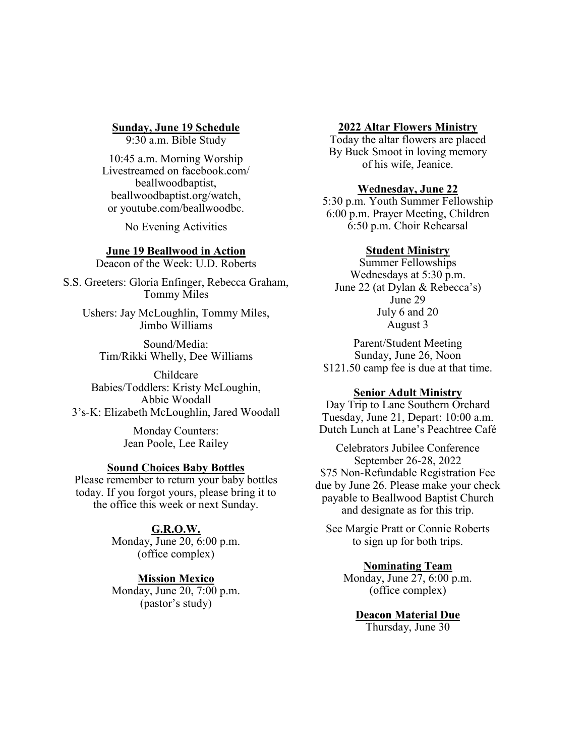# **Sunday, June 19 Schedule**

9:30 a.m. Bible Study

10:45 a.m. Morning Worship Livestreamed on facebook.com/ beallwoodbaptist, beallwoodbaptist.org/watch, or youtube.com/beallwoodbc.

No Evening Activities

## **June 19 Beallwood in Action**

Deacon of the Week: U.D. Roberts

S.S. Greeters: Gloria Enfinger, Rebecca Graham, Tommy Miles

Ushers: Jay McLoughlin, Tommy Miles, Jimbo Williams

Sound/Media: Tim/Rikki Whelly, Dee Williams

Childcare Babies/Toddlers: Kristy McLoughin, Abbie Woodall 3's-K: Elizabeth McLoughlin, Jared Woodall

> Monday Counters: Jean Poole, Lee Railey

### **Sound Choices Baby Bottles**

Please remember to return your baby bottles today. If you forgot yours, please bring it to the office this week or next Sunday.

## **G.R.O.W.**

Monday, June 20, 6:00 p.m. (office complex)

# **Mission Mexico**

Monday, June 20, 7:00 p.m. (pastor's study)

## **2022 Altar Flowers Ministry**

Today the altar flowers are placed By Buck Smoot in loving memory of his wife, Jeanice.

# **Wednesday, June 22**

5:30 p.m. Youth Summer Fellowship 6:00 p.m. Prayer Meeting, Children 6:50 p.m. Choir Rehearsal

## **Student Ministry**

Summer Fellowships Wednesdays at 5:30 p.m. June 22 (at Dylan & Rebecca's) June 29 July 6 and 20 August 3

Parent/Student Meeting Sunday, June 26, Noon \$121.50 camp fee is due at that time.

### **Senior Adult Ministry**

Day Trip to Lane Southern Orchard Tuesday, June 21, Depart: 10:00 a.m. Dutch Lunch at Lane's Peachtree Café

Celebrators Jubilee Conference September 26-28, 2022 \$75 Non-Refundable Registration Fee due by June 26. Please make your check payable to Beallwood Baptist Church and designate as for this trip.

See Margie Pratt or Connie Roberts to sign up for both trips.

# **Nominating Team**

Monday, June 27, 6:00 p.m. (office complex)

**Deacon Material Due** Thursday, June 30